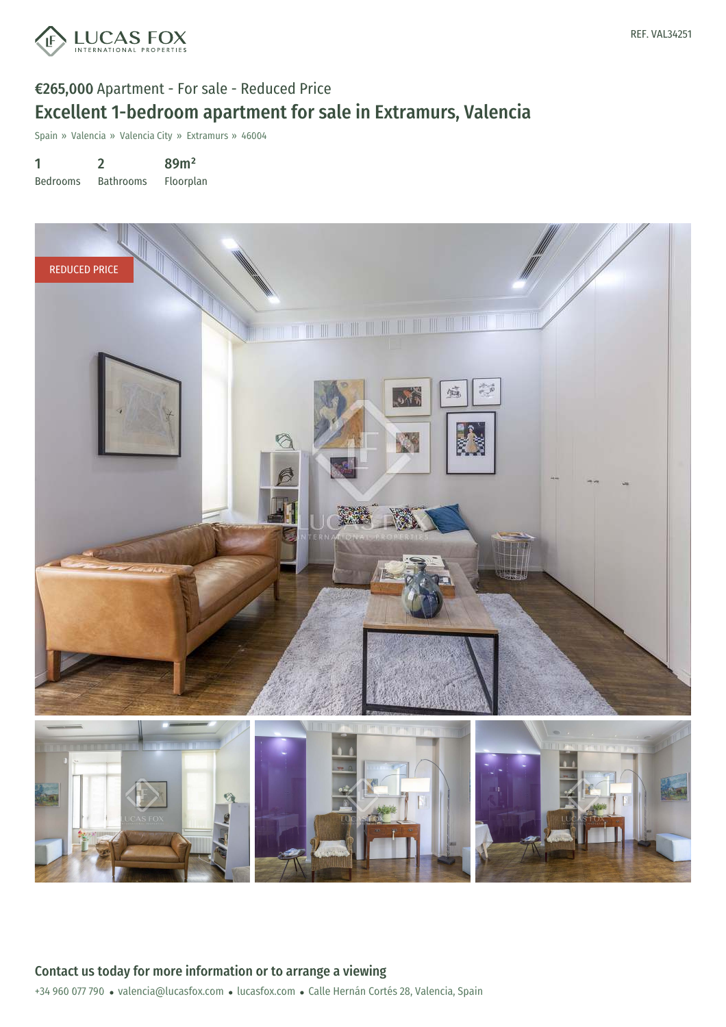

# €265,000 Apartment - For sale - Reduced Price Excellent 1-bedroom apartment for sale in Extramurs, Valencia

Spain » Valencia » Valencia City » Extramurs » 46004

1 Bedrooms 2 Bathrooms 89m² Floorplan

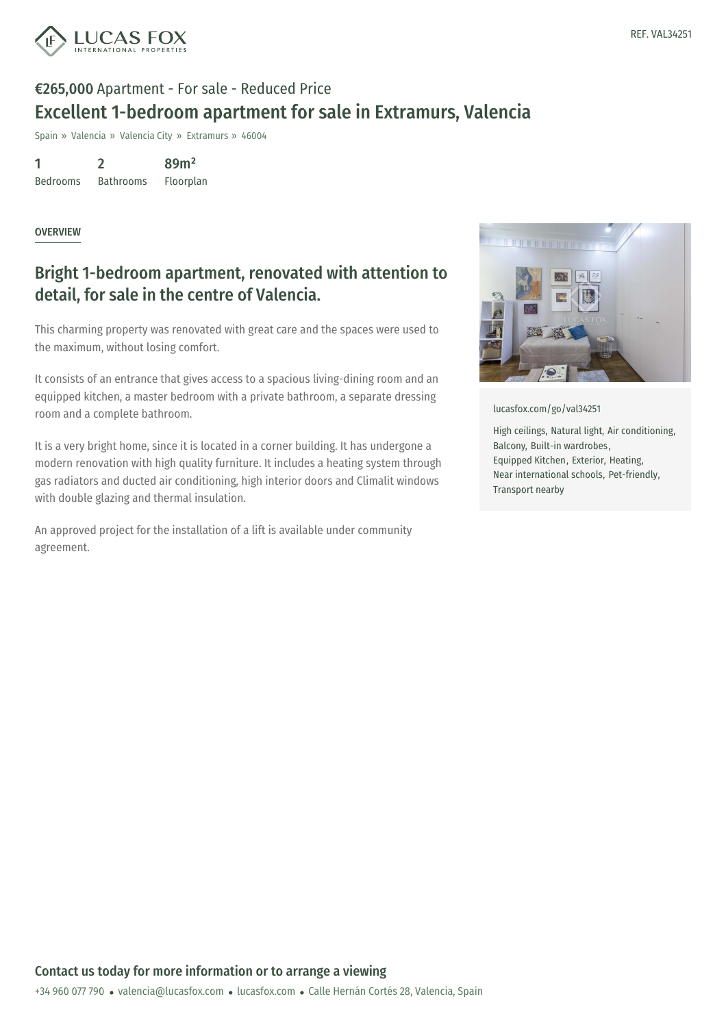

# €265,000 Apartment - For sale - Reduced Price Excellent 1-bedroom apartment for sale in Extramurs, Valencia

Spain » Valencia » Valencia City » Extramurs » 46004

1 Bedrooms 2 Bathrooms 89m² Floorplan

#### **OVERVIEW**

### Bright 1-bedroom apartment, renovated with attention to detail, for sale in the centre of Valencia.

This charming property was renovated with great care and the spaces were used to the maximum, without losing comfort.

It consists of an entrance that gives access to a spacious living-dining room and an equipped kitchen, a master bedroom with a private bathroom, a separate dressing room and a complete bathroom.

It is a very bright home, since it is located in a corner building. It has undergone a modern renovation with high quality furniture. It includes a heating system through gas radiators and ducted air conditioning, high interior doors and Climalit windows with double glazing and thermal insulation.

An approved project for the installation of a lift is available under community agreement.



[lucasfox.com/go/val34251](https://www.lucasfox.com/go/val34251)

High ceilings, Natural light, Air conditioning, Balcony, Built-in wardrobes, Equipped Kitchen, Exterior, Heating, Near international schools, Pet-friendly, Transport nearby